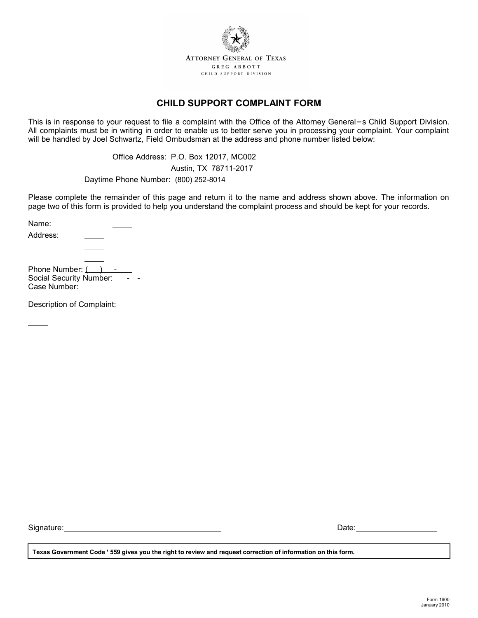

## **CHILD SUPPORT COMPLAINT FORM**

This is in response to your request to file a complaint with the Office of the Attorney General=s Child Support Division. All complaints must be in writing in order to enable us to better serve you in processing your complaint. Your complaint will be handled by Joel Schwartz, Field Ombudsman at the address and phone number listed below:

> Office Address: P.O. Box 12017, MC002 Austin, TX 78711-2017

Daytime Phone Number: (800) 252-8014

Please complete the remainder of this page and return it to the name and address shown above. The information on page two of this form is provided to help you understand the complaint process and should be kept for your records.

Name: Address: Phone Number: ( Social Security Number:

Case Number:

Description of Complaint:

Signature: University of the set of the set of the set of the set of the set of the set of the set of the set of the set of the set of the set of the set of the set of the set of the set of the set of the set of the set of

| Date: |  |
|-------|--|
|       |  |

**Texas Government Code** ' **559 gives you the right to review and request correction of information on this form.**